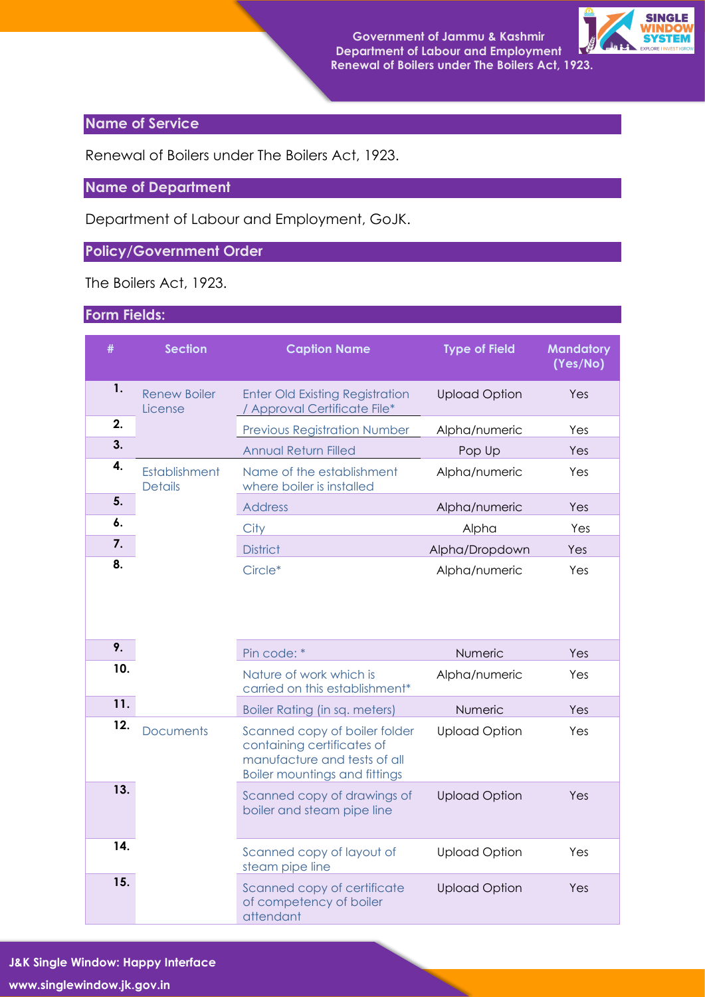

## **Name of Service**

Renewal of Boilers under The Boilers Act, 1923.

## **Name of Department**

Department of Labour and Employment, GoJK.

## **Policy/Government Order**

The Boilers Act, 1923.

## **Form Fields:**

| #   | <b>Section</b>                  | <b>Caption Name</b>                                                                                                                 | <b>Type of Field</b> | <b>Mandatory</b><br>(Yes/No) |
|-----|---------------------------------|-------------------------------------------------------------------------------------------------------------------------------------|----------------------|------------------------------|
| 1.  | <b>Renew Boiler</b><br>License  | <b>Enter Old Existing Registration</b><br>Approval Certificate File*                                                                | <b>Upload Option</b> | Yes                          |
| 2.  |                                 | <b>Previous Registration Number</b>                                                                                                 | Alpha/numeric        | Yes                          |
| 3.  |                                 | <b>Annual Return Filled</b>                                                                                                         | Pop Up               | Yes                          |
| 4.  | Establishment<br><b>Details</b> | Name of the establishment<br>where boiler is installed                                                                              | Alpha/numeric        | Yes                          |
| 5.  |                                 | <b>Address</b>                                                                                                                      | Alpha/numeric        | Yes                          |
| 6.  |                                 | City                                                                                                                                | Alpha                | Yes                          |
| 7.  |                                 | <b>District</b>                                                                                                                     | Alpha/Dropdown       | Yes                          |
| 8.  |                                 | Circle*                                                                                                                             | Alpha/numeric        | Yes                          |
| 9.  |                                 | Pin code: *                                                                                                                         | Numeric              | Yes                          |
| 10. |                                 | Nature of work which is<br>carried on this establishment*                                                                           | Alpha/numeric        | Yes                          |
| 11. |                                 | <b>Boiler Rating (in sq. meters)</b>                                                                                                | Numeric              | Yes                          |
| 12. | <b>Documents</b>                | Scanned copy of boiler folder<br>containing certificates of<br>manufacture and tests of all<br><b>Boiler mountings and fittings</b> | <b>Upload Option</b> | Yes                          |
| 13. |                                 | Scanned copy of drawings of<br>boiler and steam pipe line                                                                           | <b>Upload Option</b> | Yes                          |
| 14. |                                 | Scanned copy of layout of<br>steam pipe line                                                                                        | <b>Upload Option</b> | Yes                          |
| 15. |                                 | Scanned copy of certificate<br>of competency of boiler<br>attendant                                                                 | <b>Upload Option</b> | Yes                          |